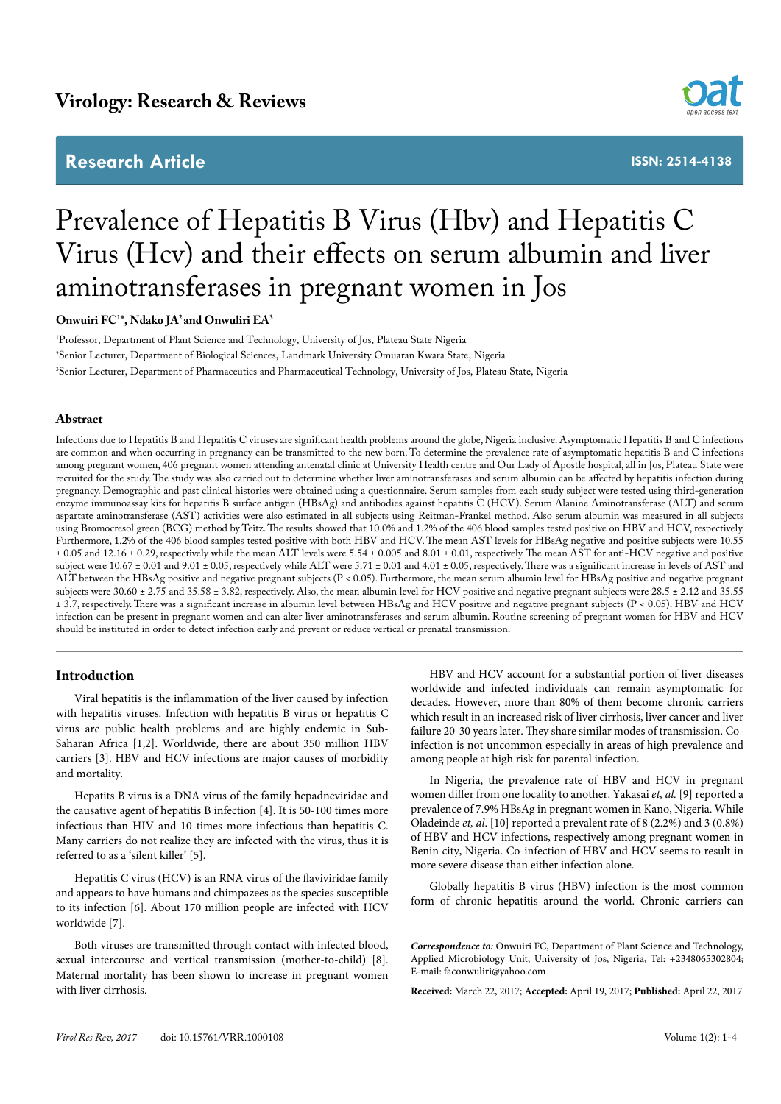# **Research Article**



**ISSN: 2514-4138**

# Prevalence of Hepatitis B Virus (Hbv) and Hepatitis C Virus (Hcv) and their effects on serum albumin and liver aminotransferases in pregnant women in Jos

# **Onwuiri FC1 \*, Ndako JA2 and Onwuliri EA3**

1 Professor, Department of Plant Science and Technology, University of Jos, Plateau State Nigeria 2 Senior Lecturer, Department of Biological Sciences, Landmark University Omuaran Kwara State, Nigeria 3 Senior Lecturer, Department of Pharmaceutics and Pharmaceutical Technology, University of Jos, Plateau State, Nigeria

#### **Abstract**

Infections due to Hepatitis B and Hepatitis C viruses are significant health problems around the globe, Nigeria inclusive. Asymptomatic Hepatitis B and C infections are common and when occurring in pregnancy can be transmitted to the new born. To determine the prevalence rate of asymptomatic hepatitis B and C infections among pregnant women, 406 pregnant women attending antenatal clinic at University Health centre and Our Lady of Apostle hospital, all in Jos, Plateau State were recruited for the study. The study was also carried out to determine whether liver aminotransferases and serum albumin can be affected by hepatitis infection during pregnancy. Demographic and past clinical histories were obtained using a questionnaire. Serum samples from each study subject were tested using third-generation enzyme immunoassay kits for hepatitis B surface antigen (HBsAg) and antibodies against hepatitis C (HCV). Serum Alanine Aminotransferase (ALT) and serum aspartate aminotransferase (AST) activities were also estimated in all subjects using Reitman-Frankel method. Also serum albumin was measured in all subjects using Bromocresol green (BCG) method by Teitz. The results showed that 10.0% and 1.2% of the 406 blood samples tested positive on HBV and HCV, respectively. Furthermore, 1.2% of the 406 blood samples tested positive with both HBV and HCV. The mean AST levels for HBsAg negative and positive subjects were 10.55 ± 0.05 and 12.16 ± 0.29, respectively while the mean ALT levels were 5.54 ± 0.005 and 8.01 ± 0.01, respectively. The mean AST for anti-HCV negative and positive subject were  $10.67 \pm 0.01$  and  $9.01 \pm 0.05$ , respectively while ALT were 5.71  $\pm$  0.01 and 4.01  $\pm$  0.05, respectively. There was a significant increase in levels of AST and ALT between the HBsAg positive and negative pregnant subjects (P < 0.05). Furthermore, the mean serum albumin level for HBsAg positive and negative pregnant subjects were 30.60 ± 2.75 and 35.58 ± 3.82, respectively. Also, the mean albumin level for HCV positive and negative pregnant subjects were 28.5 ± 2.12 and 35.55 ± 3.7, respectively. There was a significant increase in albumin level between HBsAg and HCV positive and negative pregnant subjects (P < 0.05). HBV and HCV infection can be present in pregnant women and can alter liver aminotransferases and serum albumin. Routine screening of pregnant women for HBV and HCV should be instituted in order to detect infection early and prevent or reduce vertical or prenatal transmission.

#### **Introduction**

Viral hepatitis is the inflammation of the liver caused by infection with hepatitis viruses. Infection with hepatitis B virus or hepatitis C virus are public health problems and are highly endemic in Sub-Saharan Africa [1,2]. Worldwide, there are about 350 million HBV carriers [3]. HBV and HCV infections are major causes of morbidity and mortality.

Hepatits B virus is a DNA virus of the family hepadneviridae and the causative agent of hepatitis B infection [4]. It is 50-100 times more infectious than HIV and 10 times more infectious than hepatitis C. Many carriers do not realize they are infected with the virus, thus it is referred to as a 'silent killer' [5].

Hepatitis C virus (HCV) is an RNA virus of the flaviviridae family and appears to have humans and chimpazees as the species susceptible to its infection [6]. About 170 million people are infected with HCV worldwide [7].

Both viruses are transmitted through contact with infected blood, sexual intercourse and vertical transmission (mother-to-child) [8]. Maternal mortality has been shown to increase in pregnant women with liver cirrhosis.

HBV and HCV account for a substantial portion of liver diseases worldwide and infected individuals can remain asymptomatic for decades. However, more than 80% of them become chronic carriers which result in an increased risk of liver cirrhosis, liver cancer and liver failure 20-30 years later. They share similar modes of transmission. Coinfection is not uncommon especially in areas of high prevalence and among people at high risk for parental infection.

In Nigeria, the prevalence rate of HBV and HCV in pregnant women differ from one locality to another. Yakasai *et, al.* [9] reported a prevalence of 7.9% HBsAg in pregnant women in Kano, Nigeria. While Oladeinde *et, al*. [10] reported a prevalent rate of 8 (2.2%) and 3 (0.8%) of HBV and HCV infections, respectively among pregnant women in Benin city, Nigeria. Co-infection of HBV and HCV seems to result in more severe disease than either infection alone.

Globally hepatitis B virus (HBV) infection is the most common form of chronic hepatitis around the world. Chronic carriers can

**Received:** March 22, 2017; **Accepted:** April 19, 2017; **Published:** April 22, 2017

*Correspondence to:* Onwuiri FC, Department of Plant Science and Technology, Applied Microbiology Unit, University of Jos, Nigeria, Tel: +2348065302804; E-mail: faconwuliri@yahoo.com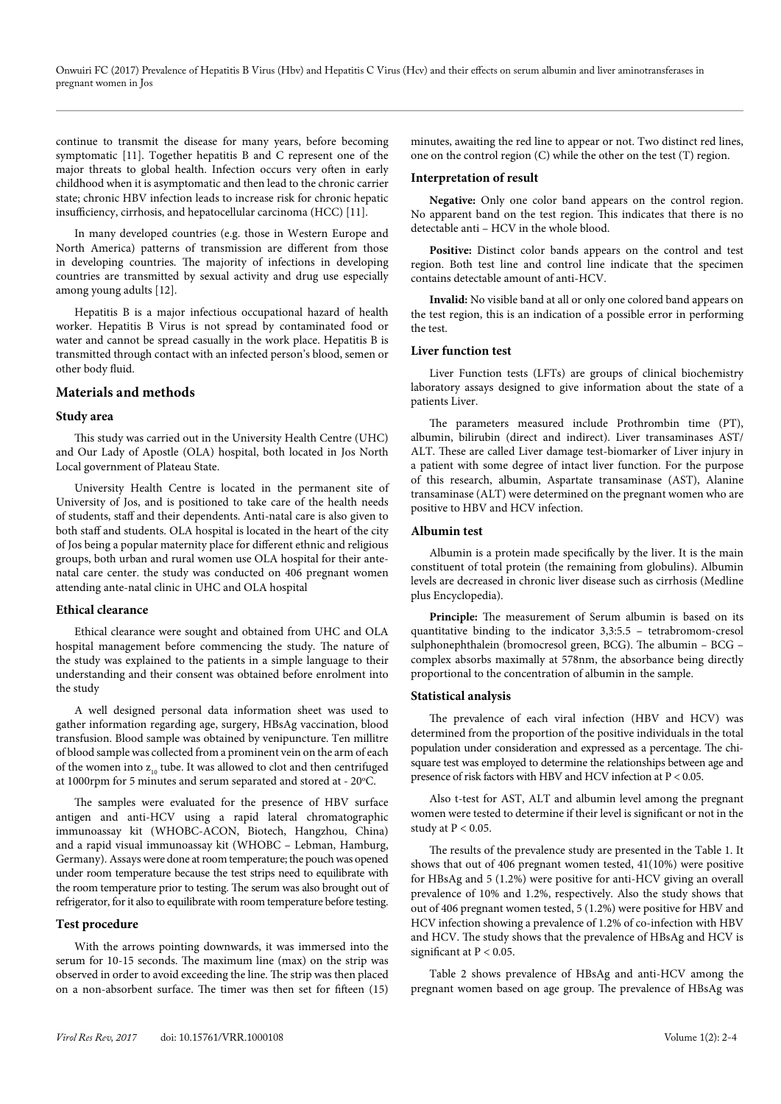continue to transmit the disease for many years, before becoming symptomatic [11]. Together hepatitis B and C represent one of the major threats to global health. Infection occurs very often in early childhood when it is asymptomatic and then lead to the chronic carrier state; chronic HBV infection leads to increase risk for chronic hepatic insufficiency, cirrhosis, and hepatocellular carcinoma (HCC) [11].

In many developed countries (e.g. those in Western Europe and North America) patterns of transmission are different from those in developing countries. The majority of infections in developing countries are transmitted by sexual activity and drug use especially among young adults [12].

Hepatitis B is a major infectious occupational hazard of health worker. Hepatitis B Virus is not spread by contaminated food or water and cannot be spread casually in the work place. Hepatitis B is transmitted through contact with an infected person's blood, semen or other body fluid.

## **Materials and methods**

#### **Study area**

This study was carried out in the University Health Centre (UHC) and Our Lady of Apostle (OLA) hospital, both located in Jos North Local government of Plateau State.

University Health Centre is located in the permanent site of University of Jos, and is positioned to take care of the health needs of students, staff and their dependents. Anti-natal care is also given to both staff and students. OLA hospital is located in the heart of the city of Jos being a popular maternity place for different ethnic and religious groups, both urban and rural women use OLA hospital for their antenatal care center. the study was conducted on 406 pregnant women attending ante-natal clinic in UHC and OLA hospital

#### **Ethical clearance**

Ethical clearance were sought and obtained from UHC and OLA hospital management before commencing the study. The nature of the study was explained to the patients in a simple language to their understanding and their consent was obtained before enrolment into the study

A well designed personal data information sheet was used to gather information regarding age, surgery, HBsAg vaccination, blood transfusion. Blood sample was obtained by venipuncture. Ten millitre of blood sample was collected from a prominent vein on the arm of each of the women into  $z_{10}$  tube. It was allowed to clot and then centrifuged at 1000rpm for 5 minutes and serum separated and stored at - 20°C.

The samples were evaluated for the presence of HBV surface antigen and anti-HCV using a rapid lateral chromatographic immunoassay kit (WHOBC-ACON, Biotech, Hangzhou, China) and a rapid visual immunoassay kit (WHOBC – Lebman, Hamburg, Germany). Assays were done at room temperature; the pouch was opened under room temperature because the test strips need to equilibrate with the room temperature prior to testing. The serum was also brought out of refrigerator, for it also to equilibrate with room temperature before testing.

### **Test procedure**

With the arrows pointing downwards, it was immersed into the serum for 10-15 seconds. The maximum line (max) on the strip was observed in order to avoid exceeding the line. The strip was then placed on a non-absorbent surface. The timer was then set for fifteen (15)

minutes, awaiting the red line to appear or not. Two distinct red lines, one on the control region (C) while the other on the test (T) region.

#### **Interpretation of result**

**Negative:** Only one color band appears on the control region. No apparent band on the test region. This indicates that there is no detectable anti – HCV in the whole blood.

**Positive:** Distinct color bands appears on the control and test region. Both test line and control line indicate that the specimen contains detectable amount of anti-HCV.

**Invalid:** No visible band at all or only one colored band appears on the test region, this is an indication of a possible error in performing the test.

#### **Liver function test**

Liver Function tests (LFTs) are groups of clinical biochemistry laboratory assays designed to give information about the state of a patients Liver.

The parameters measured include Prothrombin time (PT), albumin, bilirubin (direct and indirect). Liver transaminases AST/ ALT. These are called Liver damage test-biomarker of Liver injury in a patient with some degree of intact liver function. For the purpose of this research, albumin, Aspartate transaminase (AST), Alanine transaminase (ALT) were determined on the pregnant women who are positive to HBV and HCV infection.

#### **Albumin test**

Albumin is a protein made specifically by the liver. It is the main constituent of total protein (the remaining from globulins). Albumin levels are decreased in chronic liver disease such as cirrhosis (Medline plus Encyclopedia).

**Principle:** The measurement of Serum albumin is based on its quantitative binding to the indicator 3,3:5.5 – tetrabromom-cresol sulphonephthalein (bromocresol green, BCG). The albumin – BCG – complex absorbs maximally at 578nm, the absorbance being directly proportional to the concentration of albumin in the sample.

#### **Statistical analysis**

The prevalence of each viral infection (HBV and HCV) was determined from the proportion of the positive individuals in the total population under consideration and expressed as a percentage. The chisquare test was employed to determine the relationships between age and presence of risk factors with HBV and HCV infection at P < 0.05.

Also t-test for AST, ALT and albumin level among the pregnant women were tested to determine if their level is significant or not in the study at  $P < 0.05$ .

The results of the prevalence study are presented in the Table 1. It shows that out of 406 pregnant women tested, 41(10%) were positive for HBsAg and 5 (1.2%) were positive for anti-HCV giving an overall prevalence of 10% and 1.2%, respectively. Also the study shows that out of 406 pregnant women tested, 5 (1.2%) were positive for HBV and HCV infection showing a prevalence of 1.2% of co-infection with HBV and HCV. The study shows that the prevalence of HBsAg and HCV is significant at P < 0.05.

Table 2 shows prevalence of HBsAg and anti-HCV among the pregnant women based on age group. The prevalence of HBsAg was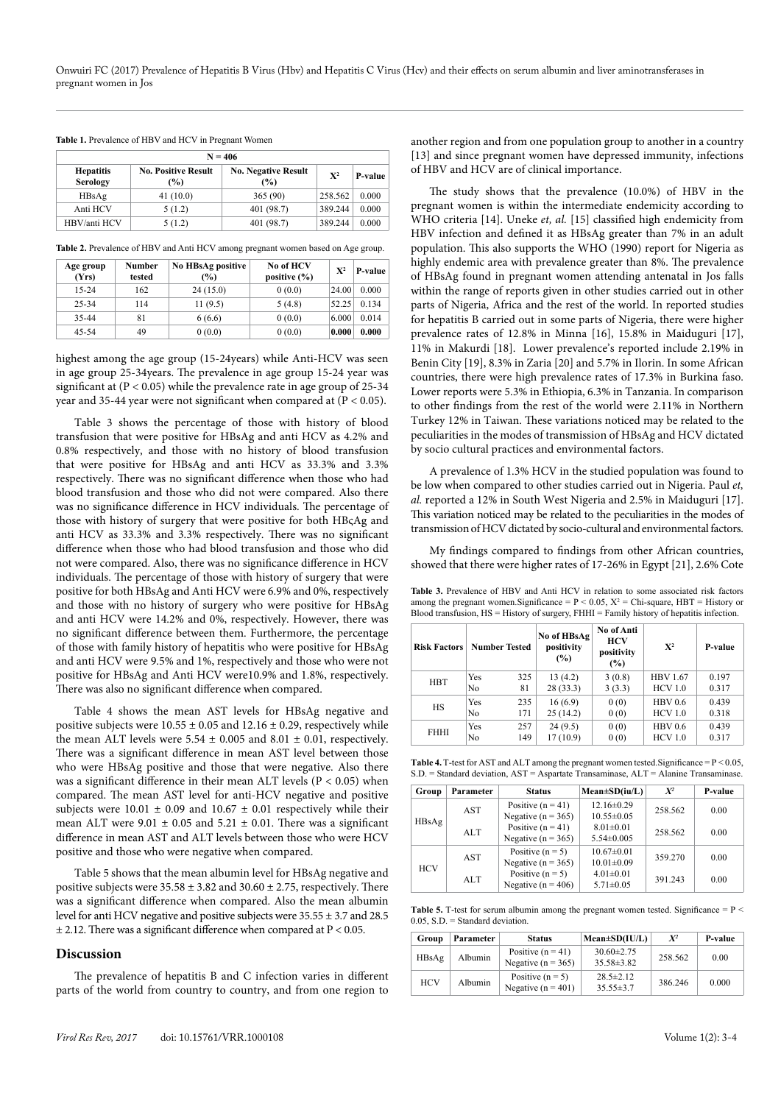|                              | $N = 406$                         |                                   |         |         |  |  |  |
|------------------------------|-----------------------------------|-----------------------------------|---------|---------|--|--|--|
| <b>Hepatitis</b><br>Serology | <b>No. Positive Result</b><br>(%) | <b>No. Negative Result</b><br>(%) | $X^2$   | P-value |  |  |  |
| HBsAg                        | 41(10.0)                          | 365(90)                           | 258.562 | 0.000   |  |  |  |
| Anti HCV                     | 5(1.2)                            | 401(98.7)                         | 389.244 | 0.000   |  |  |  |
| HBV/anti HCV                 | 5(1.2)                            | 401 (98.7)                        | 389.244 | 0.000   |  |  |  |

**Table 2.** Prevalence of HBV and Anti HCV among pregnant women based on Age group.

| Age group<br>(Yrs) | <b>Number</b><br>tested | No HBsAg positive<br>$\frac{6}{2}$ | No of HCV<br>positive $(\% )$ | ${\bf X}^2$ | P-value |
|--------------------|-------------------------|------------------------------------|-------------------------------|-------------|---------|
| $15 - 24$          | 162                     | 24(15.0)                           | 0(0.0)                        | 24.00       | 0.000   |
| 25-34              | 114                     | 11(9.5)                            | 5(4.8)                        | 52.25       | 0.134   |
| 35-44              | 81                      | 6(6.6)                             | 0(0.0)                        | 6.000       | 0.014   |
| 45-54              | 49                      | 0(0.0)                             | 0(0.0)                        | 0.000       | 0.000   |

highest among the age group (15-24years) while Anti-HCV was seen in age group 25-34years. The prevalence in age group 15-24 year was significant at (P < 0.05) while the prevalence rate in age group of 25-34 year and 35-44 year were not significant when compared at (P < 0.05).

Table 3 shows the percentage of those with history of blood transfusion that were positive for HBsAg and anti HCV as 4.2% and 0.8% respectively, and those with no history of blood transfusion that were positive for HBsAg and anti HCV as 33.3% and 3.3% respectively. There was no significant difference when those who had blood transfusion and those who did not were compared. Also there was no significance difference in HCV individuals. The percentage of those with history of surgery that were positive for both HBςAg and anti HCV as 33.3% and 3.3% respectively. There was no significant difference when those who had blood transfusion and those who did not were compared. Also, there was no significance difference in HCV individuals. The percentage of those with history of surgery that were positive for both HBsAg and Anti HCV were 6.9% and 0%, respectively and those with no history of surgery who were positive for HBsAg and anti HCV were 14.2% and 0%, respectively. However, there was no significant difference between them. Furthermore, the percentage of those with family history of hepatitis who were positive for HBsAg and anti HCV were 9.5% and 1%, respectively and those who were not positive for HBsAg and Anti HCV were10.9% and 1.8%, respectively. There was also no significant difference when compared.

Table 4 shows the mean AST levels for HBsAg negative and positive subjects were  $10.55 \pm 0.05$  and  $12.16 \pm 0.29$ , respectively while the mean ALT levels were  $5.54 \pm 0.005$  and  $8.01 \pm 0.01$ , respectively. There was a significant difference in mean AST level between those who were HBsAg positive and those that were negative. Also there was a significant difference in their mean ALT levels (P < 0.05) when compared. The mean AST level for anti-HCV negative and positive subjects were  $10.01 \pm 0.09$  and  $10.67 \pm 0.01$  respectively while their mean ALT were 9.01  $\pm$  0.05 and 5.21  $\pm$  0.01. There was a significant difference in mean AST and ALT levels between those who were HCV positive and those who were negative when compared.

Table 5 shows that the mean albumin level for HBsAg negative and positive subjects were  $35.58 \pm 3.82$  and  $30.60 \pm 2.75$ , respectively. There was a significant difference when compared. Also the mean albumin level for anti HCV negative and positive subjects were 35.55 ± 3.7 and 28.5  $\pm$  2.12. There was a significant difference when compared at P < 0.05.

## **Discussion**

The prevalence of hepatitis B and C infection varies in different parts of the world from country to country, and from one region to

The study shows that the prevalence (10.0%) of HBV in the pregnant women is within the intermediate endemicity according to WHO criteria [14]. Uneke et, al. [15] classified high endemicity from HBV infection and defined it as HBsAg greater than 7% in an adult population. This also supports the WHO (1990) report for Nigeria as highly endemic area with prevalence greater than 8%. The prevalence of HBsAg found in pregnant women attending antenatal in Jos falls within the range of reports given in other studies carried out in other parts of Nigeria, Africa and the rest of the world. In reported studies for hepatitis B carried out in some parts of Nigeria, there were higher prevalence rates of 12.8% in Minna [16], 15.8% in Maiduguri [17], 11% in Makurdi [18]. Lower prevalence's reported include 2.19% in Benin City [19], 8.3% in Zaria [20] and 5.7% in Ilorin. In some African countries, there were high prevalence rates of 17.3% in Burkina faso. Lower reports were 5.3% in Ethiopia, 6.3% in Tanzania. In comparison to other findings from the rest of the world were 2.11% in Northern Turkey 12% in Taiwan. These variations noticed may be related to the peculiarities in the modes of transmission of HBsAg and HCV dictated by socio cultural practices and environmental factors.

A prevalence of 1.3% HCV in the studied population was found to be low when compared to other studies carried out in Nigeria. Paul *et, al.* reported a 12% in South West Nigeria and 2.5% in Maiduguri [17]. This variation noticed may be related to the peculiarities in the modes of transmission of HCV dictated by socio-cultural and environmental factors.

My findings compared to findings from other African countries, showed that there were higher rates of 17-26% in Egypt [21], 2.6% Cote

**Table 3.** Prevalence of HBV and Anti HCV in relation to some associated risk factors among the pregnant women. Significance =  $P < 0.05$ ,  $X^2 =$  Chi-square, HBT = History or Blood transfusion, HS = History of surgery, FHHI = Family history of hepatitis infection.

| <b>Risk Factors</b> | <b>Number Tested</b> |     | No of HBsAg<br>positivity<br>(%) | No of Anti<br>HCV<br>positivity<br>(%) | $X^2$           | P-value |
|---------------------|----------------------|-----|----------------------------------|----------------------------------------|-----------------|---------|
| <b>HBT</b>          | Yes                  | 325 | 13(4.2)                          | 3(0.8)                                 | <b>HBV</b> 1.67 | 0.197   |
|                     | No                   | 81  | 28(33.3)                         | 3(3.3)                                 | <b>HCV 1.0</b>  | 0.317   |
| <b>HS</b>           | Yes                  | 235 | 16(6.9)                          | 0(0)                                   | <b>HBV</b> 0.6  | 0.439   |
|                     | No                   | 171 | 25(14.2)                         | 0(0)                                   | <b>HCV 1.0</b>  | 0.318   |
|                     | Yes                  | 257 | 24(9.5)                          | 0(0)                                   | <b>HBV</b> 0.6  | 0.439   |
| FHHI                | No                   | 149 | 17 (10.9)                        | 0(0)                                   | HCV1.0          | 0.317   |

| <b>Table 4.</b> T-test for AST and ALT among the pregnant women tested. Significance $= P < 0.05$ , |
|-----------------------------------------------------------------------------------------------------|
| $S.D.$ = Standard deviation, $AST = Aspartate Transaminase$ , $ALT = Alanine Transaminase$ .        |

| Group      | Parameter | <b>Status</b>          | $Mean \pm SD(iu/L)$ | $X^2$   | P-value |
|------------|-----------|------------------------|---------------------|---------|---------|
|            | AST       | Positive $(n = 41)$    | $12.16 \pm 0.29$    | 258.562 | 0.00    |
| HBsAg      |           | Negative ( $n = 365$ ) | $10.55 \pm 0.05$    |         |         |
|            | ALT.      | Positive $(n = 41)$    | $8.01 \pm 0.01$     | 258.562 | 0.00    |
|            |           | Negative ( $n = 365$ ) | $5.54 \pm 0.005$    |         |         |
|            | AST       | Positive $(n = 5)$     | $10.67 \pm 0.01$    |         | 0.00    |
| <b>HCV</b> |           | Negative ( $n = 365$ ) | $10.01 \pm 0.09$    | 359.270 |         |
|            | ALT       | Positive $(n = 5)$     | $4.01 \pm 0.01$     | 391.243 | 0.00    |
|            |           | Negative ( $n = 406$ ) | $5.71 \pm 0.05$     |         |         |

**Table 5.** T-test for serum albumin among the pregnant women tested. Significance  $= P$  <  $0.05$ , S.D. = Standard deviation.

| Group      | Parameter | <b>Status</b>                                 | $Mean \pm SD(IU/L)$                  | $X^2$   | P-value |
|------------|-----------|-----------------------------------------------|--------------------------------------|---------|---------|
| HBsAg      | Albumin   | Positive $(n = 41)$<br>Negative ( $n = 365$ ) | $30.60 \pm 2.75$<br>$35.58 \pm 3.82$ | 258.562 | 0.00    |
| <b>HCV</b> | Albumin   | Positive $(n = 5)$<br>Negative $(n = 401)$    | $28.5 \pm 2.12$<br>$35.55 \pm 3.7$   | 386.246 | 0.000   |